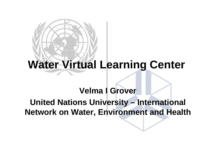# **Water Virtual Learning Center**

### **Velma I Grover**

### **United Nations University – International Network on Water, Environment and Health**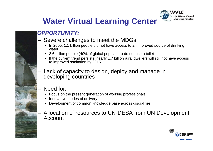

## **Water Virtual Learning Center**

### **OPPORTUNITY:**

- – Severe challenges to meet the MDGs:
	- • In 2005, 1.1 billion people did not have access to an improved source of drinking water
	- 2.6 billion people (40% of global population) do not use a toilet •
	- • If the current trend persists, nearly 1.7 billion rural dwellers will still not have access to improved sanitation by 2015
- – Lack of capacity to design, deploy and manage in developing countries
- – Need for:
	- Focus on the present generation of working professionals
	- •Innovative modes of delivery
	- Development of common knowledge base across disciplines•
- – Allocation of resources to UN-DESA from UN Development Account

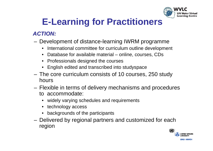

# **E-Learning for Practitioners**

### **ACTION:**

- Development of distance-learning IWRM programme
	- International committee for curriculum outline development
	- Database for available material online, courses, CDs
	- Professionals designed the courses
	- English edited and transcribed into studyspace
- The core curriculum consists of 10 courses, 250 study hours
- Flexible in terms of delivery mechanisms and procedures to accommodate:
	- widely varying schedules and requirements
	- technology access
	- •backgrounds of the participants
- Delivered by regional partners and customized for each region

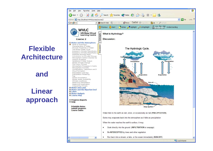

**and** 

**Linear approach**

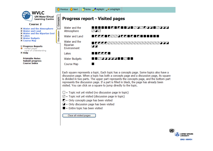

 $\blacksquare$  = Entire topic has been visited

Clear all visited pages

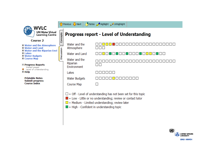

 $\blacksquare$  = High - Confident in understanding topic

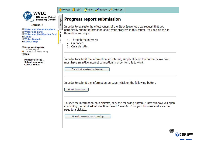

Course 2

**El Water and the Atmosphere El Water and Land** Discussion **El Water and the Riparian Envi** Filakes **Water Budgets** 

**Course Map** 

**E** Progress Reports Visited pages Level of understanding **H** Help

**Printable Notes** Submit progress **Course Index** 

Previous J Next Notes Highlight Unhighlight

#### **Progress report submission**

In order to evaluate the effectiveness of the StudySpace tool, we request that you periodically submit information about your progress in this course. You can do this in three different ways:

1. Through the internet:

2. On paper:

Concepts

3. On a diskette.

In order to submit the information via internet, simply click on the button below. You must have an active internet connection in order for this to work.

Submit information via internet

In order to submit the information on paper, click on the following button.

Print information

To save the information on a diskette, click the following button. A new window will open containing the required information. Select "Save As..." on your browser and save the page to a diskette.

Open in new window for saving

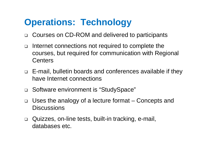# **Operations: Technology**

- □ Courses on CD-ROM and delivered to participants
- $\Box$  Internet connections not required to complete the courses, but required for communication with Regional **Centers**
- □ E-mail, bulletin boards and conferences available if they have Internet connections
- □ Software environment is "StudySpace"
- $\Box$  Uses the analogy of a lecture format – Concepts and **Discussions**
- $\Box$  Quizzes, on-line tests, built-in tracking, e-mail, databases etc.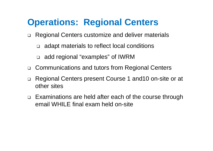# **Operations: Regional Centers**

- $\Box$  Regional Centers customize and deliver materials
	- □ adapt materials to reflect local conditions
	- □ add regional "examples" of IWRM
- □ Communications and tutors from Regional Centers
- $\Box$  Regional Centers present Course 1 and10 on-site or at other sites
- $\Box$  Examinations are held after each of the course through email WHILE final exam held on-site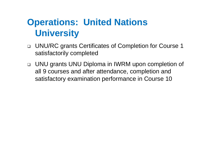# **Operations: United Nations University**

- $\Box$  UNU/RC grants Certificates of Completion for Course 1 satisfactorily completed
- $\Box$  UNU grants UNU Diploma in IWRM upon completion of all 9 courses and after attendance, completion and satisfactory examination performance in Course 10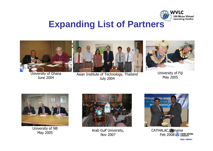

### **Expanding List of Partners**



University of GhanaJune 2004

Asian Institute of Technology, ThailandJuly 2004





University of NBMay 2005



Arab Gulf University, Nov 2007





**UNU-INWEH**